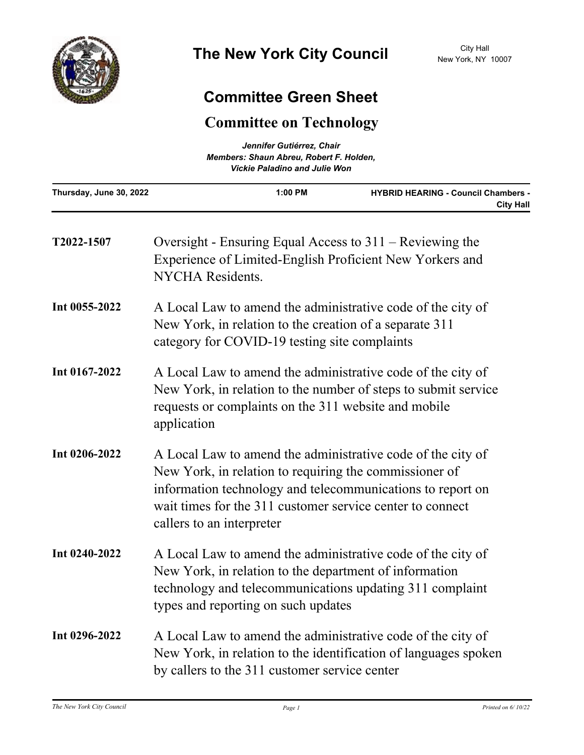

## **Committee Green Sheet**

## **Committee on Technology**

| Jennifer Gutiérrez, Chair<br>Members: Shaun Abreu, Robert F. Holden,<br><b>Vickie Paladino and Julie Won</b> |  |  |                         |           |                                                                |
|--------------------------------------------------------------------------------------------------------------|--|--|-------------------------|-----------|----------------------------------------------------------------|
|                                                                                                              |  |  | Thursday, June 30, 2022 | $1:00$ PM | <b>HYBRID HEARING - Council Chambers -</b><br><b>City Hall</b> |

| T2022-1507    | Oversight - Ensuring Equal Access to $311$ – Reviewing the<br>Experience of Limited-English Proficient New Yorkers and<br>NYCHA Residents.                                                                                                                                    |
|---------------|-------------------------------------------------------------------------------------------------------------------------------------------------------------------------------------------------------------------------------------------------------------------------------|
| Int 0055-2022 | A Local Law to amend the administrative code of the city of<br>New York, in relation to the creation of a separate 311<br>category for COVID-19 testing site complaints                                                                                                       |
| Int 0167-2022 | A Local Law to amend the administrative code of the city of<br>New York, in relation to the number of steps to submit service<br>requests or complaints on the 311 website and mobile<br>application                                                                          |
| Int 0206-2022 | A Local Law to amend the administrative code of the city of<br>New York, in relation to requiring the commissioner of<br>information technology and telecommunications to report on<br>wait times for the 311 customer service center to connect<br>callers to an interpreter |
| Int 0240-2022 | A Local Law to amend the administrative code of the city of<br>New York, in relation to the department of information<br>technology and telecommunications updating 311 complaint<br>types and reporting on such updates                                                      |
| Int 0296-2022 | A Local Law to amend the administrative code of the city of<br>New York, in relation to the identification of languages spoken<br>by callers to the 311 customer service center                                                                                               |